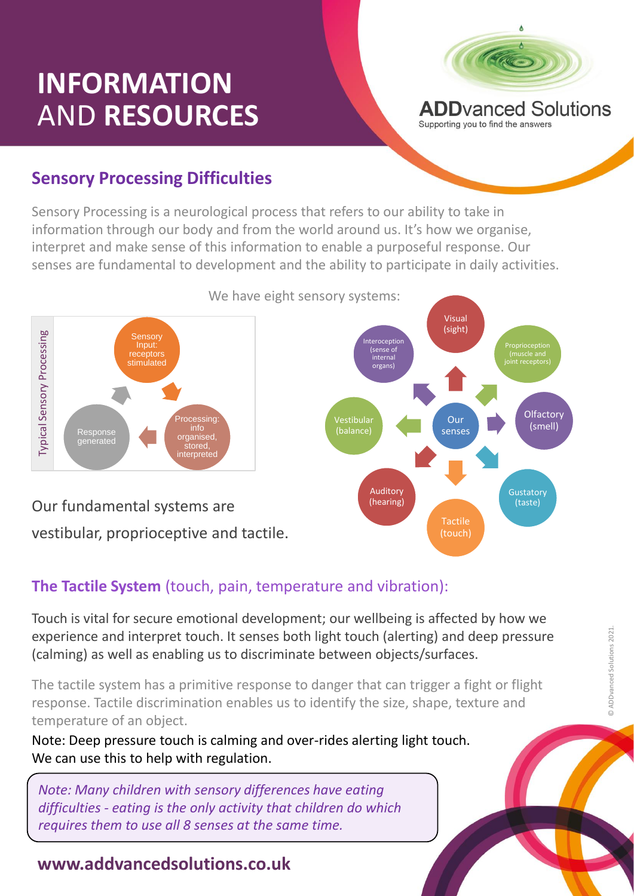# **INFORMATION** AND **RESOURCES**



Supporting you to find the answers

### **Sensory Processing Difficulties**

Sensory Processing is a neurological process that refers to our ability to take in information through our body and from the world around us. It's how we organise, interpret and make sense of this information to enable a purposeful response. Our senses are fundamental to development and the ability to participate in daily activities.



Our fundamental systems are vestibular, proprioceptive and tactile.



## **The Tactile System** (touch, pain, temperature and vibration):

Touch is vital for secure emotional development; our wellbeing is affected by how we experience and interpret touch. It senses both light touch (alerting) and deep pressure (calming) as well as enabling us to discriminate between objects/surfaces.

onse to danger t<br>es us to identify The tactile system has a primitive response to danger that can trigger a fight or flight response. Tactile discrimination enables us to identify the size, shape, texture and temperature of an object.

Note: Deep pressure touch is calming and over-rides alerting light touch. We can use this to help with regulation.

*Note: Many children with sensory differences have eating difficulties - eating is the only activity that children do which requires them to use all 8 senses at the same time.*

### **www.addvancedsolutions.co.uk**